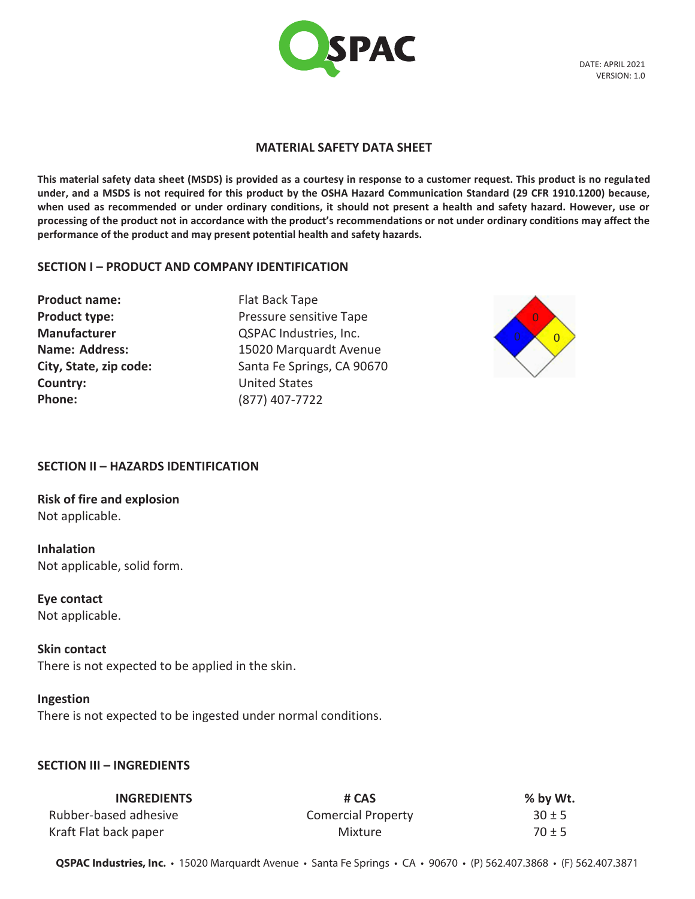

DATE: APRIL 2021 VERSION: 1.0

#### **MATERIAL SAFETY DATA SHEET**

**This material safety data sheet (MSDS) is provided as a courtesy in response to a customer request. This product is no regulated under, and a MSDS is not required for this product by the OSHA Hazard Communication Standard (29 CFR 1910.1200) because, when used as recommended or under ordinary conditions, it should not present a health and safety hazard. However, use or processing of the product not in accordance with the product's recommendations or not under ordinary conditions may affect the performance of the product and may present potential health and safety hazards.**

#### **SECTION I – PRODUCT AND COMPANY IDENTIFICATION**

**Product name: Product type: Manufacturer Name: Address: City, State, zip code: Country: Phone:**

Flat Back Tape Pressure sensitive Tape QSPAC Industries, Inc. 15020 Marquardt Avenue Santa Fe Springs, CA 90670 United States (877) 407-7722



## **SECTION II – HAZARDS IDENTIFICATION**

**Risk of fire and explosion** Not applicable.

**Inhalation** Not applicable, solid form.

**Eye contact** Not applicable.

# **Skin contact**

There is not expected to be applied in the skin.

## **Ingestion**

There is not expected to be ingested under normal conditions.

## **SECTION III – INGREDIENTS**

| <b>INGREDIENTS</b>    | # CAS                     | % by Wt.   |
|-----------------------|---------------------------|------------|
| Rubber-based adhesive | <b>Comercial Property</b> | $30 \pm 5$ |
| Kraft Flat back paper | Mixture                   | $70 \pm 5$ |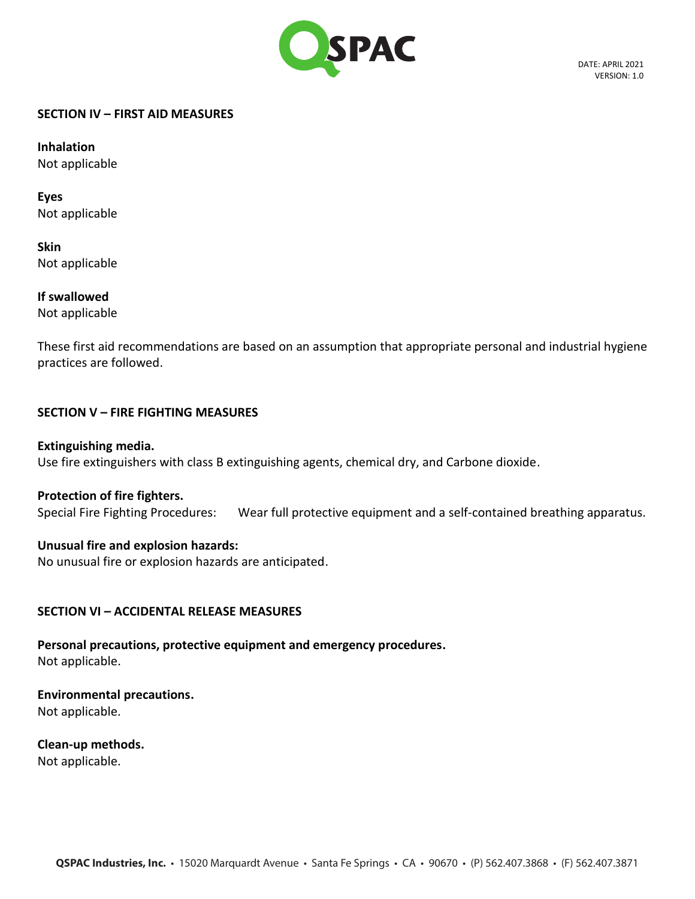

DATE: APRIL 2021 VERSION: 1.0

#### **SECTION IV – FIRST AID MEASURES**

**Inhalation** Not applicable

**Eyes** Not applicable

**Skin** Not applicable

**If swallowed** Not applicable

These first aid recommendations are based on an assumption that appropriate personal and industrial hygiene practices are followed.

# **SECTION V – FIRE FIGHTING MEASURES**

# **Extinguishing media.**

Use fire extinguishers with class B extinguishing agents, chemical dry, and Carbone dioxide.

# **Protection of fire fighters.**

Special Fire Fighting Procedures: Wear full protective equipment and a self-contained breathing apparatus.

# **Unusual fire and explosion hazards:**

No unusual fire or explosion hazards are anticipated.

# **SECTION VI – ACCIDENTAL RELEASE MEASURES**

**Personal precautions, protective equipment and emergency procedures.** Not applicable.

**Environmental precautions.** Not applicable.

**Clean-up methods.** Not applicable.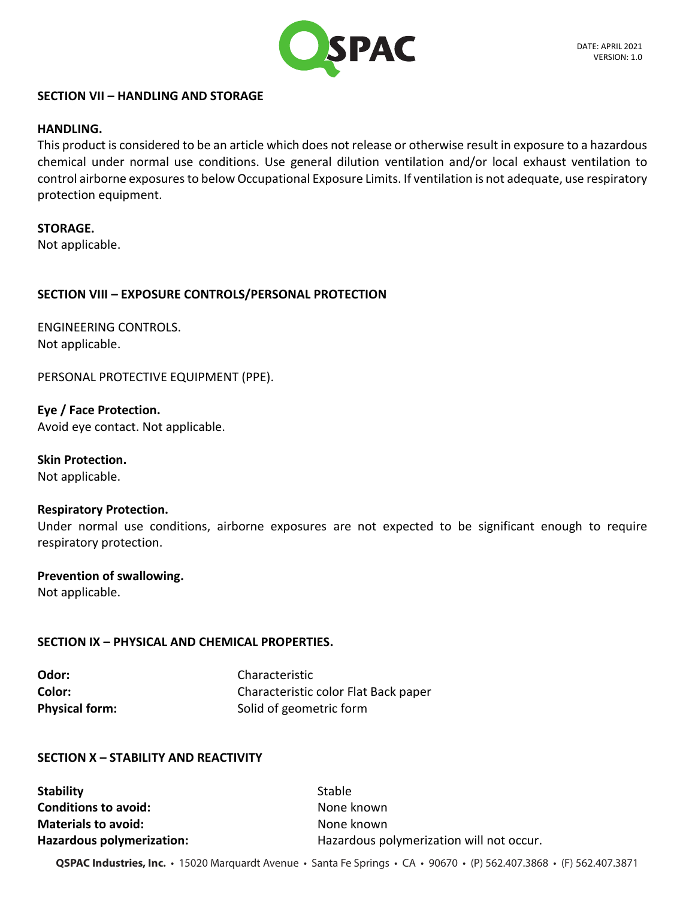

## **SECTION VII – HANDLING AND STORAGE**

## **HANDLING.**

This product is considered to be an article which does not release or otherwise result in exposure to a hazardous chemical under normal use conditions. Use general dilution ventilation and/or local exhaust ventilation to control airborne exposures to below Occupational Exposure Limits. If ventilation is not adequate, use respiratory protection equipment.

**STORAGE.**

Not applicable.

## **SECTION VIII – EXPOSURE CONTROLS/PERSONAL PROTECTION**

ENGINEERING CONTROLS. Not applicable.

PERSONAL PROTECTIVE EQUIPMENT (PPE).

**Eye / Face Protection.** Avoid eye contact. Not applicable.

**Skin Protection.** Not applicable.

## **Respiratory Protection.**

Under normal use conditions, airborne exposures are not expected to be significant enough to require respiratory protection.

# **Prevention of swallowing.**

Not applicable.

# **SECTION IX – PHYSICAL AND CHEMICAL PROPERTIES.**

| Odor:                 | Characteristic                       |
|-----------------------|--------------------------------------|
| Color:                | Characteristic color Flat Back paper |
| <b>Physical form:</b> | Solid of geometric form              |

## **SECTION X – STABILITY AND REACTIVITY**

**Stability** Stable **Conditions to avoid:** None known **Materials to avoid:** None known

**Hazardous polymerization:** Hazardous polymerization will not occur.

**QSPAC Industries, Inc.** • 15020 Marquardt Avenue • Santa Fe Springs • CA • 90670 • (P) 562.407.3868 • (F) 562.407.3871